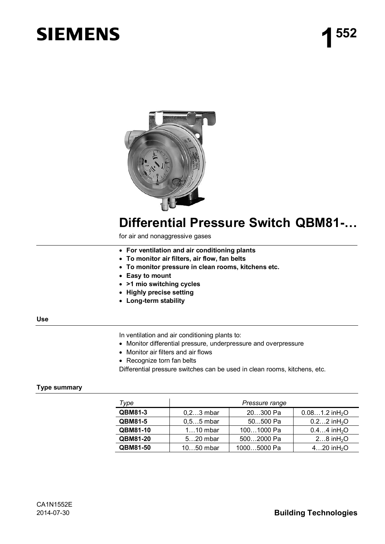# **SIEMENS**



## **Differential Pressure Switch QBM81-…**

for air and nonaggressive gases

- x **For ventilation and air conditioning plants**
- x **To monitor air filters, air flow, fan belts**
- x **To monitor pressure in clean rooms, kitchens etc.**
- x **Easy to mount**
- x **>1 mio switching cycles**
- x **Highly precise setting**
- x **Long-term stability**

### **Use**

In ventilation and air conditioning plants to:

- Monitor differential pressure, underpressure and overpressure
- Monitor air filters and air flows
- Recognize torn fan belts

Differential pressure switches can be used in clean rooms, kitchens, etc.

### **Type summary**

| Type           | Pressure range |             |                               |
|----------------|----------------|-------------|-------------------------------|
| QBM81-3        | $0, 23$ mbar   | 20300 Pa    | $0.081.2$ in H <sub>2</sub> O |
| <b>QBM81-5</b> | $0,55$ mbar    | 50500 Pa    | $0.22$ in H <sub>2</sub> O    |
| QBM81-10       | $110$ mbar     | 1001000 Pa  | $0.44$ in H <sub>2</sub> O    |
| QBM81-20       | $520$ mbar     | 5002000 Pa  | 2 $8$ in $H_2O$               |
| QBM81-50       | 1050 mbar      | 10005000 Pa | $420$ in H <sub>2</sub> O     |

### 2014-07-30 **Building Technologies**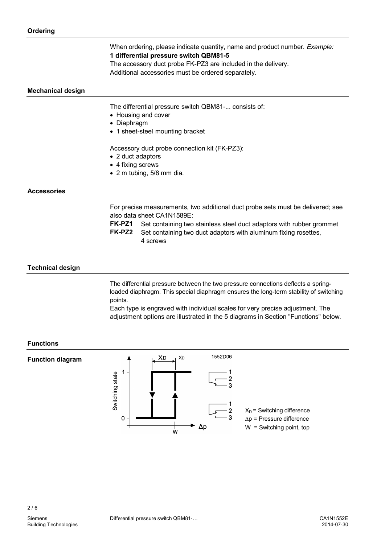When ordering, please indicate quantity, name and product number. *Example:*  **1 differential pressure switch QBM81-5**

The accessory duct probe FK-PZ3 are included in the delivery. Additional accessories must be ordered separately.

### **Mechanical design**

The differential pressure switch QBM81-... consists of:

- Housing and cover
- Diaphragm
- 1 sheet-steel mounting bracket

Accessory duct probe connection kit (FK-PZ3):

- 2 duct adaptors
- $\bullet$  4 fixing screws
- $\bullet$  2 m tubing, 5/8 mm dia.

4 screws

### **Accessories**

For precise measurements, two additional duct probe sets must be delivered; see also data sheet CA1N1589E:

**FK-PZ1** Set containing two stainless steel duct adaptors with rubber grommet **FK-PZ2** Set containing two duct adaptors with aluminum fixing rosettes,

**Technical design** 

The differential pressure between the two pressure connections deflects a springloaded diaphragm. This special diaphragm ensures the long-term stability of switching points.

Each type is engraved with individual scales for very precise adjustment. The adjustment options are illustrated in the 5 diagrams in Section "Functions" below.

### **Functions**

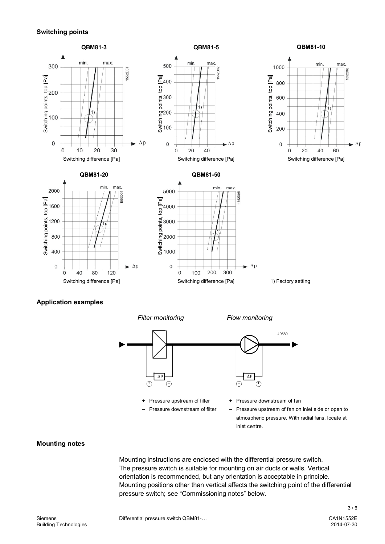### **Switching points**



### **Application examples**



### **Mounting notes**

Mounting instructions are enclosed with the differential pressure switch. The pressure switch is suitable for mounting on air ducts or walls. Vertical orientation is recommended, but any orientation is acceptable in principle. Mounting positions other than vertical affects the switching point of the differential pressure switch; see "Commissioning notes" below.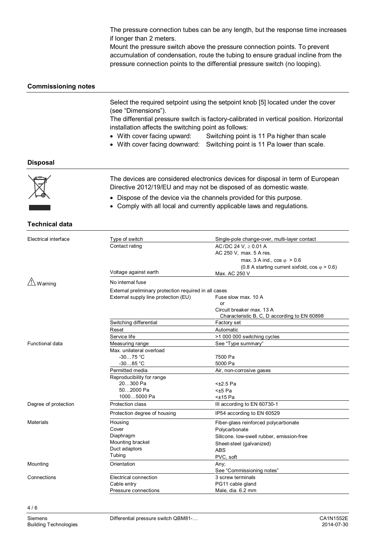The pressure connection tubes can be any length, but the response time increases if longer than 2 meters.

Mount the pressure switch above the pressure connection points. To prevent accumulation of condensation, route the tubing to ensure gradual incline from the pressure connection points to the differential pressure switch (no looping).

### **Commissioning notes**

Select the required setpoint using the setpoint knob [5] located under the cover (see "Dimensions").

The differential pressure switch is factory-calibrated in vertical position. Horizontal installation affects the switching point as follows:

- With cover facing upward: Switching point is 11 Pa higher than scale
- With cover facing downward: Switching point is 11 Pa lower than scale.

### **Disposal**



The devices are considered electronics devices for disposal in term of European Directive 2012/19/EU and may not be disposed of as domestic waste.

- Dispose of the device via the channels provided for this purpose.
- Comply with all local and currently applicable laws and regulations.

### **Technical data**

| Electrical interface  | Type of switch                                        | Single-pole change-over, multi-layer contact          |  |
|-----------------------|-------------------------------------------------------|-------------------------------------------------------|--|
|                       | Contact rating                                        | AC/DC 24 V, $\geq$ 0.01 A                             |  |
|                       |                                                       | AC 250 V, max. 5 A res.                               |  |
|                       |                                                       | max. 3 A ind., $\cos \varphi > 0.6$                   |  |
|                       |                                                       | $(0.8 A starting current sixfold, cos \varphi > 0.6)$ |  |
|                       | Voltage against earth                                 | Max. AC 250 V                                         |  |
| $\frac{1}{2}$ Warning | No internal fuse                                      |                                                       |  |
|                       | External preliminary protection required in all cases |                                                       |  |
|                       | External supply line protection (EU)                  | Fuse slow max. 10 A                                   |  |
|                       |                                                       | or                                                    |  |
|                       |                                                       | Circuit breaker max, 13 A                             |  |
|                       |                                                       | Characteristic B, C, D according to EN 60898          |  |
|                       | Switching differential                                | Factory set                                           |  |
|                       | Reset                                                 | Automatic                                             |  |
|                       | Service life                                          | >1 000 000 switching cycles                           |  |
| Functional data       | Measuring range                                       | See "Type summary"                                    |  |
|                       | Max. unilateral overload                              |                                                       |  |
|                       | $-3075 °C$                                            | 7500 Pa                                               |  |
|                       | $-3085 °C$                                            | 5000 Pa                                               |  |
|                       | Permitted media                                       | Air, non-corrosive gases                              |  |
|                       | Reproducibility for range                             |                                                       |  |
|                       | 20300 Pa                                              | $<\pm 2.5$ Pa                                         |  |
|                       | 502000 Pa                                             | $±5$ Pa                                               |  |
|                       | 10005000 Pa                                           | $±15$ Pa                                              |  |
| Degree of protection  | Protection class                                      | III according to EN 60730-1                           |  |
|                       | Protection degree of housing                          | IP54 according to EN 60529                            |  |
| <b>Materials</b>      | Housing                                               | Fiber-glass reinforced polycarbonate                  |  |
|                       | Cover                                                 | Polycarbonate                                         |  |
|                       | Diaphragm                                             | Silicone. Iow-swell rubber, emission-free             |  |
|                       | Mounting bracket                                      | Sheet-steel (galvanized)                              |  |
|                       | Duct adaptors                                         | <b>ABS</b>                                            |  |
|                       | Tubing                                                | PVC, soft                                             |  |
| Mounting              | Orientation                                           | Any:                                                  |  |
|                       |                                                       | See "Commissioning notes"                             |  |
| Connections           | Electrical connection                                 | 3 screw terminals                                     |  |
|                       | Cable entry                                           | PG11 cable gland                                      |  |
|                       | Pressure connections                                  | Male, dia. 6.2 mm                                     |  |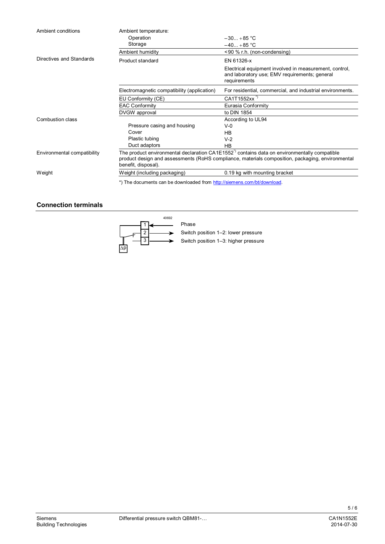| Ambient conditions          | Ambient temperature:                                                                                                                                                                                                               |                                                                                                                         |  |
|-----------------------------|------------------------------------------------------------------------------------------------------------------------------------------------------------------------------------------------------------------------------------|-------------------------------------------------------------------------------------------------------------------------|--|
|                             | Operation                                                                                                                                                                                                                          | $-30+85$ °C                                                                                                             |  |
|                             | Storage                                                                                                                                                                                                                            | $-40+85 °C$                                                                                                             |  |
|                             | Ambient humidity                                                                                                                                                                                                                   | <90 % r.h. (non-condensing)                                                                                             |  |
| Directives and Standards    | Product standard                                                                                                                                                                                                                   | EN 61326-x                                                                                                              |  |
|                             |                                                                                                                                                                                                                                    | Electrical equipment involved in measurement, control,<br>and laboratory use; EMV requirements; general<br>requirements |  |
|                             | Electromagnetic compatibility (application)                                                                                                                                                                                        | For residential, commercial, and industrial environments.                                                               |  |
|                             | EU Conformity (CE)                                                                                                                                                                                                                 | CA1T1552xx <sup>"</sup>                                                                                                 |  |
|                             | <b>EAC Conformity</b>                                                                                                                                                                                                              | Eurasia Conformity                                                                                                      |  |
|                             | DVGW approval                                                                                                                                                                                                                      | to DIN 1854                                                                                                             |  |
| Combustion class            |                                                                                                                                                                                                                                    | According to UL94                                                                                                       |  |
|                             | Pressure casing and housing                                                                                                                                                                                                        | $V-0$                                                                                                                   |  |
|                             | Cover                                                                                                                                                                                                                              | HB                                                                                                                      |  |
|                             | Plastic tubing                                                                                                                                                                                                                     | $V-2$                                                                                                                   |  |
|                             | Duct adaptors                                                                                                                                                                                                                      | <b>HB</b>                                                                                                               |  |
| Environmental compatibility | The product environmental declaration CA1E1552 <sup>"</sup> contains data on environmentally compatible<br>product design and assessments (RoHS compliance, materials composition, packaging, environmental<br>benefit, disposal). |                                                                                                                         |  |
| Weight                      | Weight (including packaging)                                                                                                                                                                                                       | 0.19 kg with mounting bracket                                                                                           |  |
|                             | *) The documents can be downloaded from http://siemens.com/bt/download.                                                                                                                                                            |                                                                                                                         |  |

### **Connection terminals**



Switch position 1–2: lower pressure Switch position 1–3: higher pressure

5 / 6